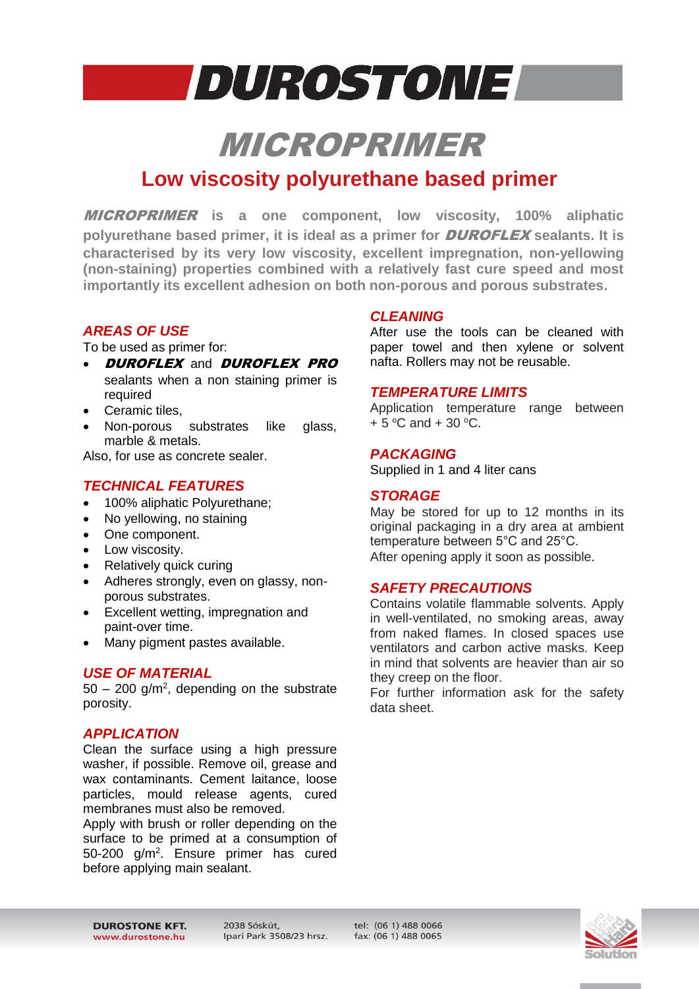## **DUROSTONE**

### MICROPRIMER

### **Low viscosity polyurethane based primer**

MICROPRIMER **is a one component, low viscosity, 100% aliphatic polyurethane based primer, it is ideal as a primer for** DUROFLEX **sealants. It is characterised by its very low viscosity, excellent impregnation, non-yellowing (non-staining) properties combined with a relatively fast cure speed and most importantly its excellent adhesion on both non-porous and porous substrates.**

#### *AREAS OF USE*

To be used as primer for:

- **DUROFLEX and DUROFLEX PRO** sealants when a non staining primer is required
- Ceramic tiles,
- Non-porous substrates like glass, marble & metals.

Also, for use as concrete sealer.

#### *TECHNICAL FEATURES*

- 100% aliphatic Polyurethane;
- No yellowing, no staining
- One component.
- Low viscosity.
- Relatively quick curing
- Adheres strongly, even on glassy, nonporous substrates.
- Excellent wetting, impregnation and paint-over time.
- Many pigment pastes available.

#### *USE OF MATERIAL*

 $50 - 200$  g/m<sup>2</sup>, depending on the substrate porosity.

#### *APPLICATION*

Clean the surface using a high pressure washer, if possible. Remove oil, grease and wax contaminants. Cement laitance, loose particles, mould release agents, cured membranes must also be removed.

Apply with brush or roller depending on the surface to be primed at a consumption of 50-200 g/m<sup>2</sup>. Ensure primer has cured before applying main sealant.

#### *CLEANING*

After use the tools can be cleaned with paper towel and then xylene or solvent nafta. Rollers may not be reusable.

#### *TEMPERATURE LIMITS*

Application temperature range between  $+5$  °C and  $+30$  °C.

#### *PACKAGING*

Supplied in 1 and 4 liter cans

#### *STORAGE*

May be stored for up to 12 months in its original packaging in a dry area at ambient temperature between 5°C and 25°C. After opening apply it soon as possible.

#### *SAFETY PRECAUTIONS*

Contains volatile flammable solvents. Apply in well-ventilated, no smoking areas, away from naked flames. In closed spaces use ventilators and carbon active masks. Keep in mind that solvents are heavier than air so they creep on the floor.

For further information ask for the safety data sheet.